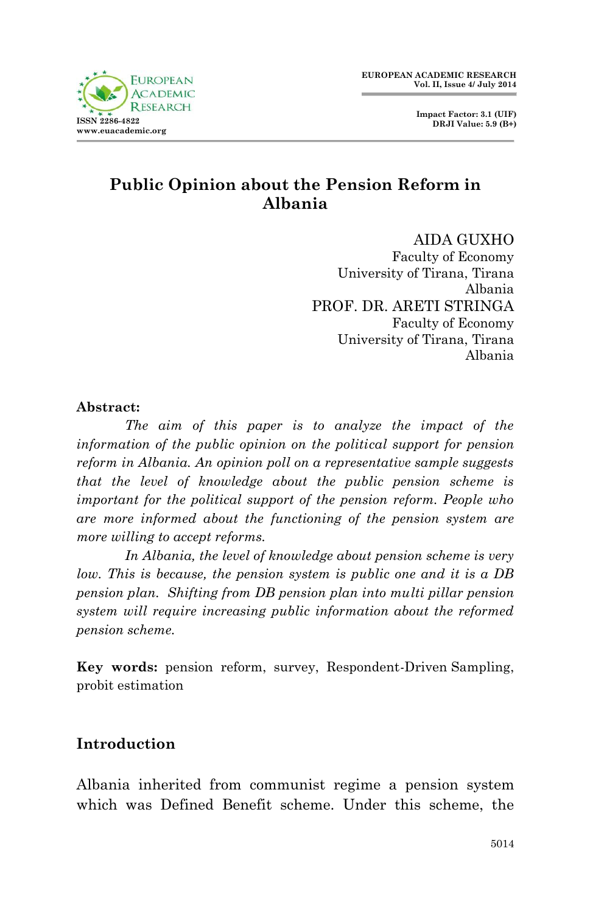

 **Impact Factor: 3.1 (UIF) DRJI Value: 5.9 (B+)**

# **Public Opinion about the Pension Reform in Albania**

AIDA GUXHO Faculty of Economy University of Tirana, Tirana Albania PROF. DR. ARETI STRINGA Faculty of Economy University of Tirana, Tirana Albania

### **Abstract:**

*The aim of this paper is to analyze the impact of the information of the public opinion on the political support for pension reform in Albania. An opinion poll on a representative sample suggests that the level of knowledge about the public pension scheme is important for the political support of the pension reform. People who are more informed about the functioning of the pension system are more willing to accept reforms.*

*In Albania, the level of knowledge about pension scheme is very low. This is because, the pension system is public one and it is a DB pension plan. Shifting from DB pension plan into multi pillar pension system will require increasing public information about the reformed pension scheme.* 

**Key words:** pension reform, survey, Respondent-Driven Sampling, probit estimation

## **Introduction**

Albania inherited from communist regime a pension system which was Defined Benefit scheme. Under this scheme, the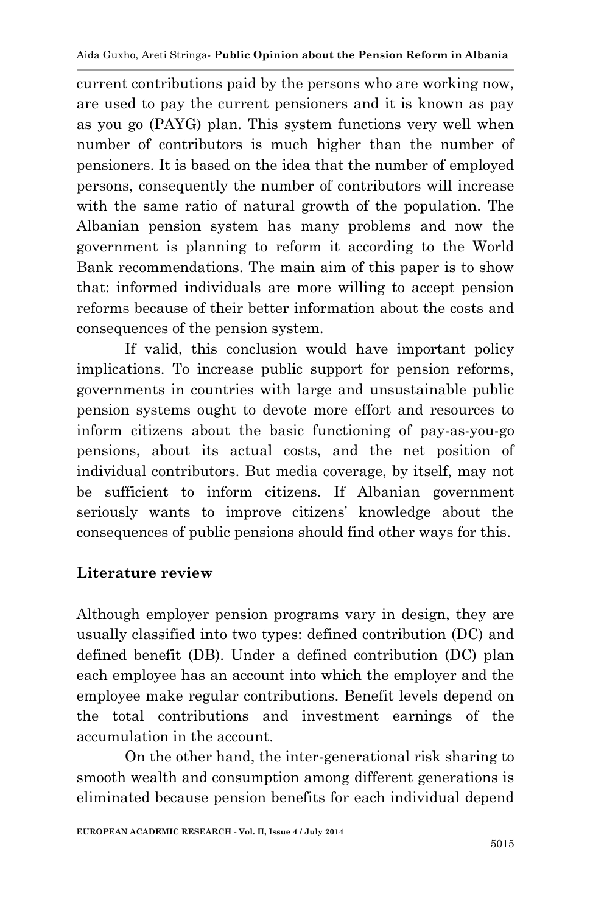current contributions paid by the persons who are working now, are used to pay the current pensioners and it is known as pay as you go (PAYG) plan. This system functions very well when number of contributors is much higher than the number of pensioners. It is based on the idea that the number of employed persons, consequently the number of contributors will increase with the same ratio of natural growth of the population. The Albanian pension system has many problems and now the government is planning to reform it according to the World Bank recommendations. The main aim of this paper is to show that: informed individuals are more willing to accept pension reforms because of their better information about the costs and consequences of the pension system.

If valid, this conclusion would have important policy implications. To increase public support for pension reforms, governments in countries with large and unsustainable public pension systems ought to devote more effort and resources to inform citizens about the basic functioning of pay-as-you-go pensions, about its actual costs, and the net position of individual contributors. But media coverage, by itself, may not be sufficient to inform citizens. If Albanian government seriously wants to improve citizens' knowledge about the consequences of public pensions should find other ways for this.

# **Literature review**

Although employer pension programs vary in design, they are usually classified into two types: defined contribution (DC) and defined benefit (DB). Under a defined contribution (DC) plan each employee has an account into which the employer and the employee make regular contributions. Benefit levels depend on the total contributions and investment earnings of the accumulation in the account.

On the other hand, the inter-generational risk sharing to smooth wealth and consumption among different generations is eliminated because pension benefits for each individual depend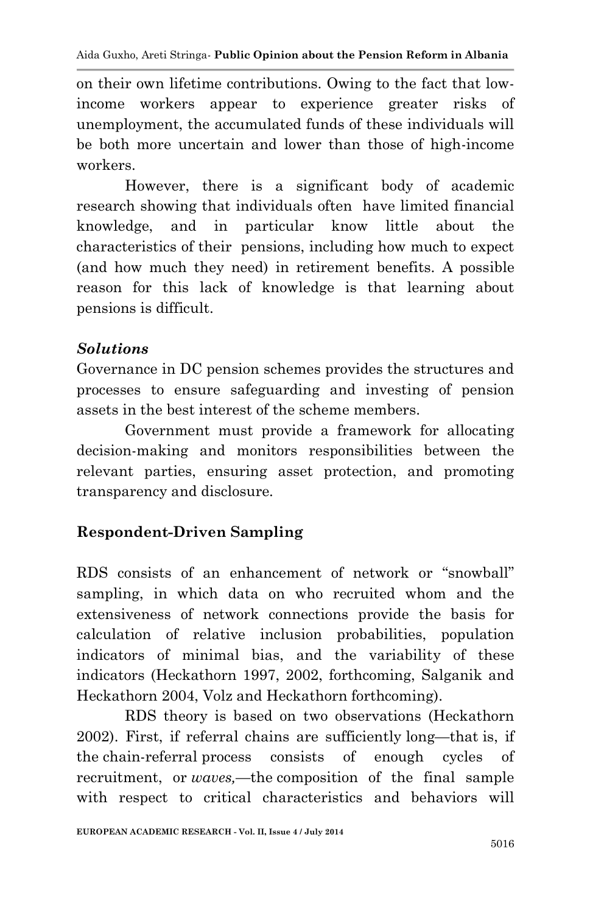Aida Guxho, Areti Stringa*-* **Public Opinion about the Pension Reform in Albania**

on their own lifetime contributions. Owing to the fact that lowincome workers appear to experience greater risks of unemployment, the accumulated funds of these individuals will be both more uncertain and lower than those of high-income workers.

However, there is a significant body of academic research showing that individuals often have limited financial knowledge, and in particular know little about the characteristics of their pensions, including how much to expect (and how much they need) in retirement benefits. A possible reason for this lack of knowledge is that learning about pensions is difficult.

### *Solutions*

Governance in DC pension schemes provides the structures and processes to ensure safeguarding and investing of pension assets in the best interest of the scheme members.

Government must provide a framework for allocating decision-making and monitors responsibilities between the relevant parties, ensuring asset protection, and promoting transparency and disclosure.

# **Respondent-Driven Sampling**

RDS consists of an enhancement of network or "snowball" sampling, in which data on who recruited whom and the extensiveness of network connections provide the basis for calculation of relative inclusion probabilities, population indicators of minimal bias, and the variability of these indicators (Heckathorn 1997, 2002, forthcoming, Salganik and Heckathorn 2004, Volz and Heckathorn forthcoming).

RDS theory is based on two observations (Heckathorn 2002). First, if referral chains are sufficiently long—that is, if the chain-referral process consists of enough cycles of recruitment, or *waves,*—the composition of the final sample with respect to critical characteristics and behaviors will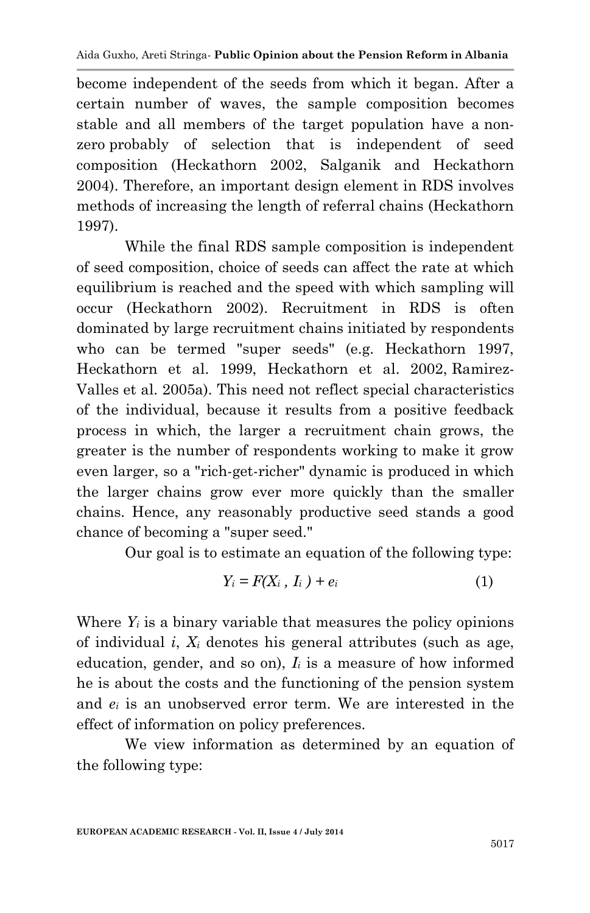become independent of the seeds from which it began. After a certain number of waves, the sample composition becomes stable and all members of the target population have a nonzero probably of selection that is independent of seed composition (Heckathorn 2002, Salganik and Heckathorn 2004). Therefore, an important design element in RDS involves methods of increasing the length of referral chains (Heckathorn 1997).

While the final RDS sample composition is independent of seed composition, choice of seeds can affect the rate at which equilibrium is reached and the speed with which sampling will occur (Heckathorn 2002). Recruitment in RDS is often dominated by large recruitment chains initiated by respondents who can be termed "super seeds" (e.g. Heckathorn 1997, Heckathorn et al. 1999, Heckathorn et al. 2002, Ramirez-Valles et al. 2005a). This need not reflect special characteristics of the individual, because it results from a positive feedback process in which, the larger a recruitment chain grows, the greater is the number of respondents working to make it grow even larger, so a "rich-get-richer" dynamic is produced in which the larger chains grow ever more quickly than the smaller chains. Hence, any reasonably productive seed stands a good chance of becoming a "super seed."

Our goal is to estimate an equation of the following type:

$$
Y_i = F(X_i, I_i) + e_i \tag{1}
$$

Where  $Y_i$  is a binary variable that measures the policy opinions of individual *i*, *X<sup>i</sup>* denotes his general attributes (such as age, education, gender, and so on), *I<sup>i</sup>* is a measure of how informed he is about the costs and the functioning of the pension system and *e<sup>i</sup>* is an unobserved error term. We are interested in the effect of information on policy preferences.

We view information as determined by an equation of the following type: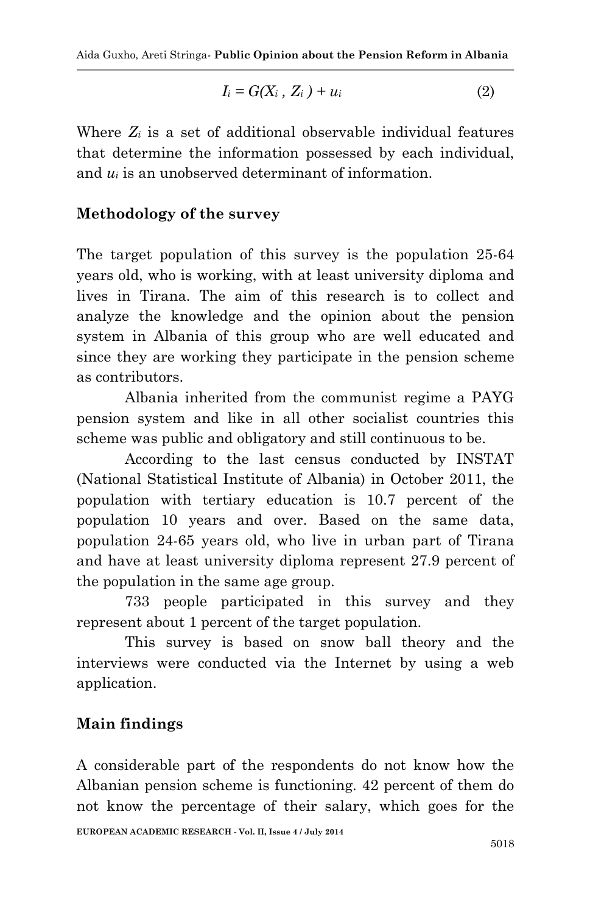$$
I_i = G(X_i, Z_i) + u_i \tag{2}
$$

Where *Z<sup>i</sup>* is a set of additional observable individual features that determine the information possessed by each individual, and *u<sup>i</sup>* is an unobserved determinant of information.

### **Methodology of the survey**

The target population of this survey is the population 25-64 years old, who is working, with at least university diploma and lives in Tirana. The aim of this research is to collect and analyze the knowledge and the opinion about the pension system in Albania of this group who are well educated and since they are working they participate in the pension scheme as contributors.

Albania inherited from the communist regime a PAYG pension system and like in all other socialist countries this scheme was public and obligatory and still continuous to be.

According to the last census conducted by INSTAT (National Statistical Institute of Albania) in October 2011, the population with tertiary education is 10.7 percent of the population 10 years and over. Based on the same data, population 24-65 years old, who live in urban part of Tirana and have at least university diploma represent 27.9 percent of the population in the same age group.

733 people participated in this survey and they represent about 1 percent of the target population.

This survey is based on snow ball theory and the interviews were conducted via the Internet by using a web application.

### **Main findings**

A considerable part of the respondents do not know how the Albanian pension scheme is functioning. 42 percent of them do not know the percentage of their salary, which goes for the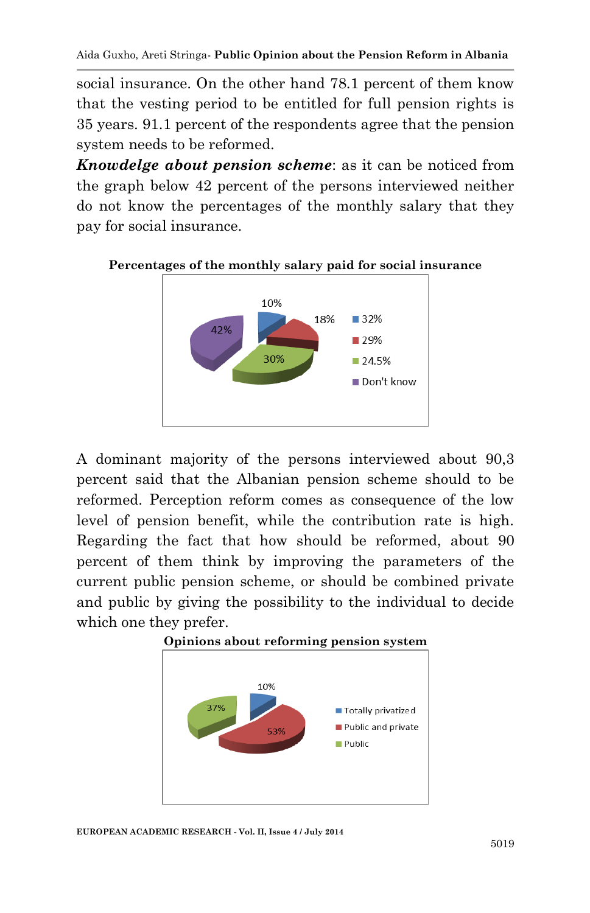social insurance. On the other hand 78.1 percent of them know that the vesting period to be entitled for full pension rights is 35 years. 91.1 percent of the respondents agree that the pension system needs to be reformed.

*Knowdelge about pension scheme*: as it can be noticed from the graph below 42 percent of the persons interviewed neither do not know the percentages of the monthly salary that they pay for social insurance.



### **Percentages of the monthly salary paid for social insurance**

A dominant majority of the persons interviewed about 90,3 percent said that the Albanian pension scheme should to be reformed. Perception reform comes as consequence of the low level of pension benefit, while the contribution rate is high. Regarding the fact that how should be reformed, about 90 percent of them think by improving the parameters of the current public pension scheme, or should be combined private and public by giving the possibility to the individual to decide which one they prefer.





**EUROPEAN ACADEMIC RESEARCH - Vol. II, Issue 4 / July 2014**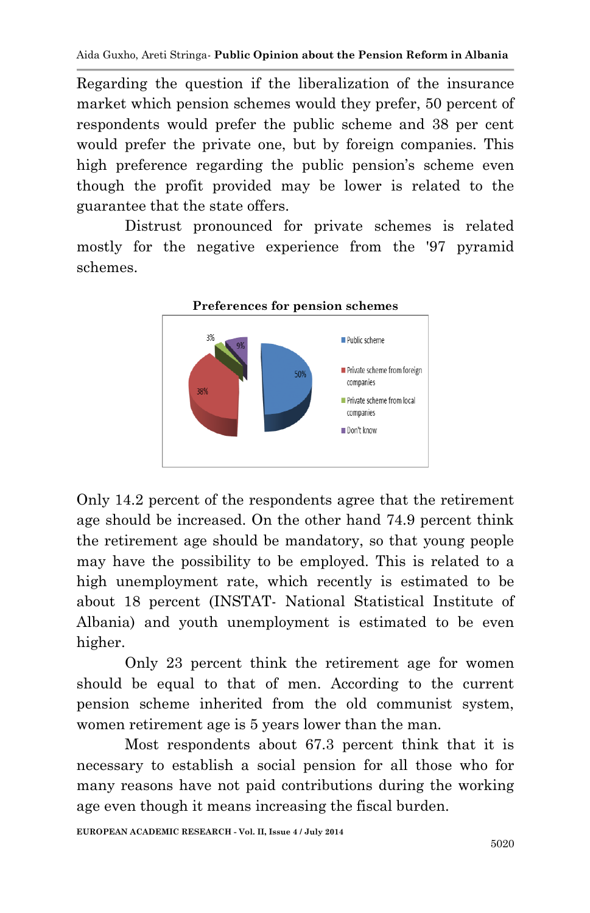Regarding the question if the liberalization of the insurance market which pension schemes would they prefer, 50 percent of respondents would prefer the public scheme and 38 per cent would prefer the private one, but by foreign companies. This high preference regarding the public pension's scheme even though the profit provided may be lower is related to the guarantee that the state offers.

Distrust pronounced for private schemes is related mostly for the negative experience from the '97 pyramid schemes.



Only 14.2 percent of the respondents agree that the retirement age should be increased. On the other hand 74.9 percent think the retirement age should be mandatory, so that young people may have the possibility to be employed. This is related to a high unemployment rate, which recently is estimated to be about 18 percent (INSTAT- National Statistical Institute of Albania) and youth unemployment is estimated to be even higher.

Only 23 percent think the retirement age for women should be equal to that of men. According to the current pension scheme inherited from the old communist system, women retirement age is 5 years lower than the man.

Most respondents about 67.3 percent think that it is necessary to establish a social pension for all those who for many reasons have not paid contributions during the working age even though it means increasing the fiscal burden.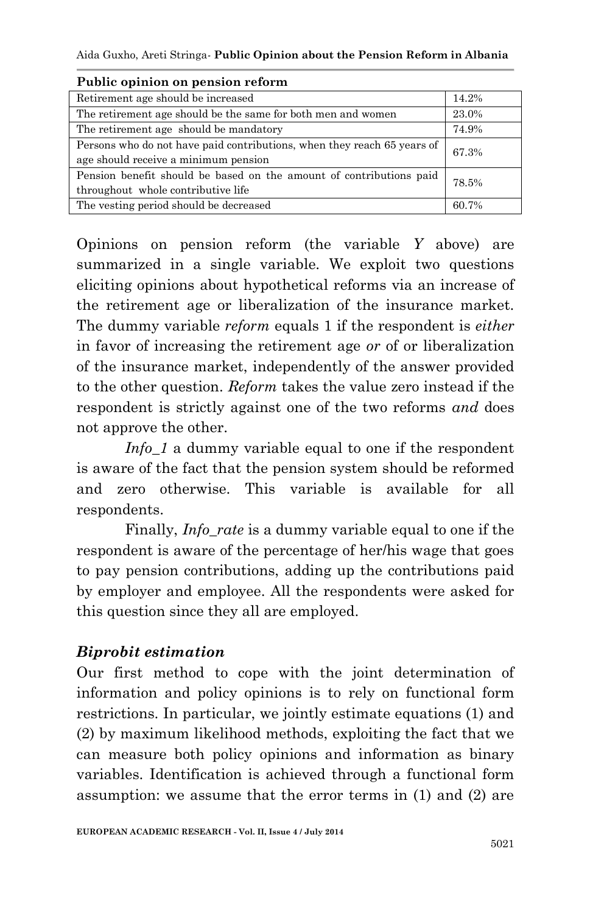Aida Guxho, Areti Stringa*-* **Public Opinion about the Pension Reform in Albania**

| 1 aviit opiilioli oli pelisioli reform                                  |       |  |
|-------------------------------------------------------------------------|-------|--|
| Retirement age should be increased                                      | 14.2% |  |
| The retirement age should be the same for both men and women            | 23.0% |  |
| The retirement age should be mandatory                                  | 74.9% |  |
| Persons who do not have paid contributions, when they reach 65 years of | 67.3% |  |
| age should receive a minimum pension                                    |       |  |
| Pension benefit should be based on the amount of contributions paid     | 78.5% |  |
| throughout whole contributive life                                      |       |  |
| The vesting period should be decreased                                  | 60.7% |  |
|                                                                         |       |  |

#### **Public opinion on pension reform**

Opinions on pension reform (the variable *Y* above) are summarized in a single variable. We exploit two questions eliciting opinions about hypothetical reforms via an increase of the retirement age or liberalization of the insurance market. The dummy variable *reform* equals 1 if the respondent is *either* in favor of increasing the retirement age *or* of or liberalization of the insurance market, independently of the answer provided to the other question. *Reform* takes the value zero instead if the respondent is strictly against one of the two reforms *and* does not approve the other.

*Info* 1 a dummy variable equal to one if the respondent is aware of the fact that the pension system should be reformed and zero otherwise. This variable is available for all respondents.

Finally, *Info* rate is a dummy variable equal to one if the respondent is aware of the percentage of her/his wage that goes to pay pension contributions, adding up the contributions paid by employer and employee. All the respondents were asked for this question since they all are employed.

### *Biprobit estimation*

Our first method to cope with the joint determination of information and policy opinions is to rely on functional form restrictions. In particular, we jointly estimate equations (1) and (2) by maximum likelihood methods, exploiting the fact that we can measure both policy opinions and information as binary variables. Identification is achieved through a functional form assumption: we assume that the error terms in (1) and (2) are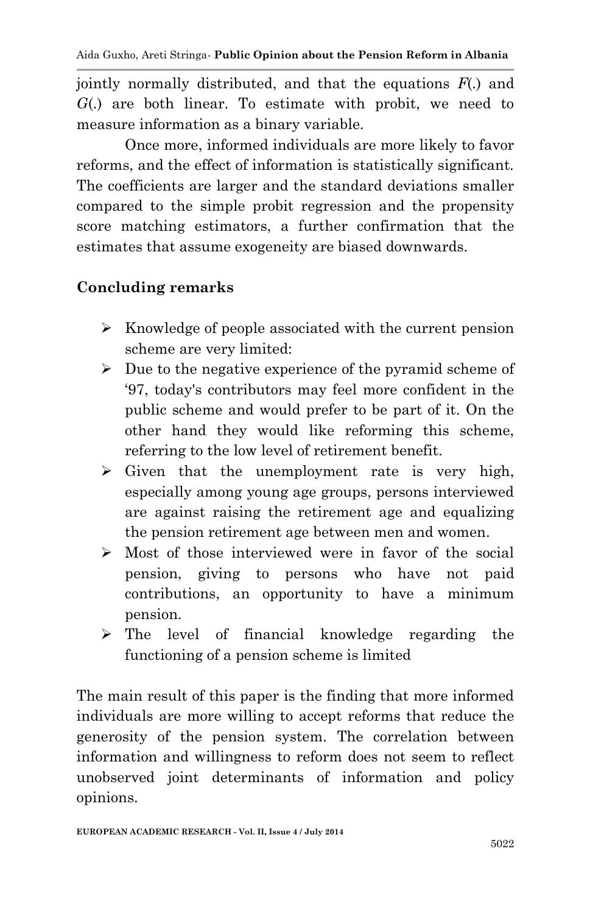jointly normally distributed, and that the equations *F*(.) and *G*(.) are both linear. To estimate with probit, we need to measure information as a binary variable.

Once more, informed individuals are more likely to favor reforms, and the effect of information is statistically significant. The coefficients are larger and the standard deviations smaller compared to the simple probit regression and the propensity score matching estimators, a further confirmation that the estimates that assume exogeneity are biased downwards.

## **Concluding remarks**

- $\triangleright$  Knowledge of people associated with the current pension scheme are very limited:
- $\triangleright$  Due to the negative experience of the pyramid scheme of '97, today's contributors may feel more confident in the public scheme and would prefer to be part of it. On the other hand they would like reforming this scheme, referring to the low level of retirement benefit.
- $\triangleright$  Given that the unemployment rate is very high, especially among young age groups, persons interviewed are against raising the retirement age and equalizing the pension retirement age between men and women.
- Most of those interviewed were in favor of the social pension, giving to persons who have not paid contributions, an opportunity to have a minimum pension.
- > The level of financial knowledge regarding the functioning of a pension scheme is limited

The main result of this paper is the finding that more informed individuals are more willing to accept reforms that reduce the generosity of the pension system. The correlation between information and willingness to reform does not seem to reflect unobserved joint determinants of information and policy opinions.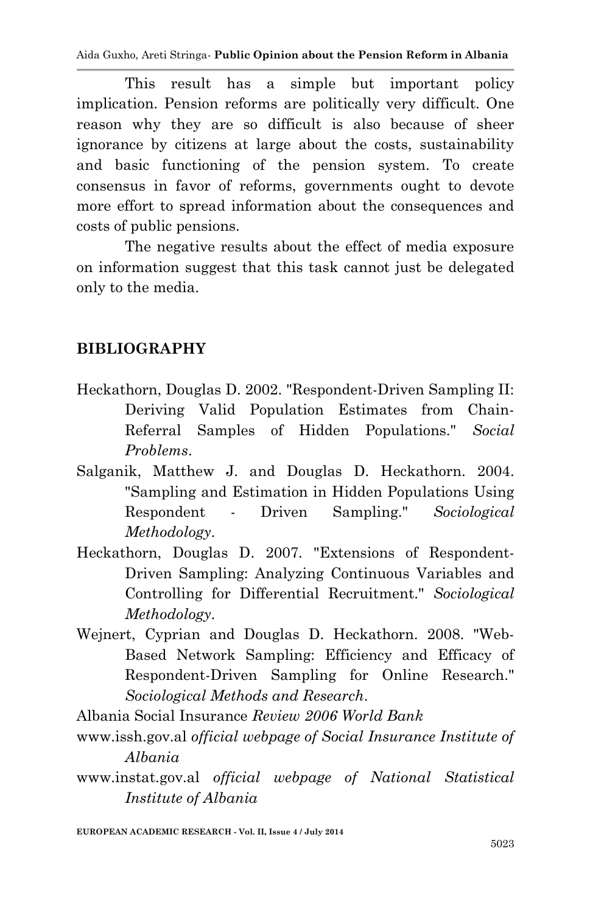Aida Guxho, Areti Stringa*-* **Public Opinion about the Pension Reform in Albania**

This result has a simple but important policy implication. Pension reforms are politically very difficult. One reason why they are so difficult is also because of sheer ignorance by citizens at large about the costs, sustainability and basic functioning of the pension system. To create consensus in favor of reforms, governments ought to devote more effort to spread information about the consequences and costs of public pensions.

The negative results about the effect of media exposure on information suggest that this task cannot just be delegated only to the media.

## **BIBLIOGRAPHY**

- Heckathorn, Douglas D. 2002. "Respondent-Driven Sampling II: Deriving Valid Population Estimates from Chain-Referral Samples of Hidden Populations." *Social Problems*.
- Salganik, Matthew J. and Douglas D. Heckathorn. 2004. "Sampling and Estimation in Hidden Populations Using Respondent - Driven Sampling." *Sociological Methodology*.
- Heckathorn, Douglas D. 2007. "Extensions of Respondent-Driven Sampling: Analyzing Continuous Variables and Controlling for Differential Recruitment." *Sociological Methodology*.
- Wejnert, Cyprian and Douglas D. Heckathorn. 2008. "Web-Based Network Sampling: Efficiency and Efficacy of Respondent-Driven Sampling for Online Research." *Sociological Methods and Research*.

Albania Social Insurance *Review 2006 World Bank*

- www.issh.gov.al *official webpage of Social Insurance Institute of Albania*
- www.instat.gov.al *official webpage of National Statistical Institute of Albania*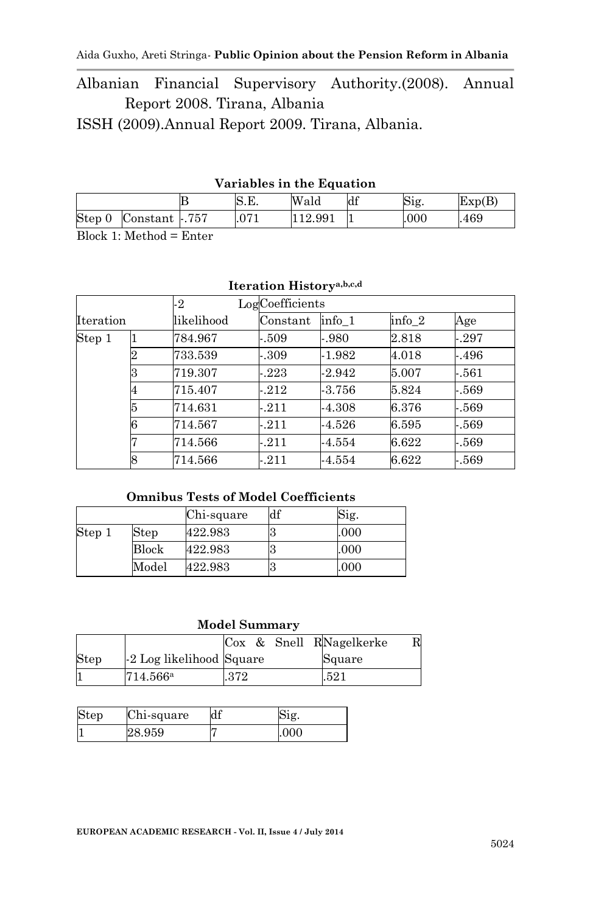Albanian Financial Supervisory Authority.(2008). Annual Report 2008. Tirana, Albania

ISSH (2009).Annual Report 2009. Tirana, Albania.

#### **Variables in the Equation**

| В                        | N.B.   | Wald   | df  | Sig. | Exp(B) |
|--------------------------|--------|--------|-----|------|--------|
| Step 0<br>Constant -.757 | $\cap$ | 12.991 | . . | .000 | 469    |
| $\mathbf{L}$             |        |        |     |      |        |

Block 1: Method = Enter

#### **Iteration Historya,b,c,d**

|           |   | -2         | LogCoefficients |          |                   |       |
|-----------|---|------------|-----------------|----------|-------------------|-------|
| Iteration |   | likelihood | Constant        | info 1   | info <sub>2</sub> | Age   |
| Step 1    |   | 784.967    | $-.509$         | $-980$   | 2.818             | - 297 |
|           | 2 | 733.539    | -.309           | $-1.982$ | 4.018             | - 496 |
|           | 3 | 719.307    | $-223$          | $-2.942$ | 5.007             | - 561 |
|           | 4 | 715.407    | $-212$          | $-3.756$ | 5.824             | - 569 |
|           | 5 | 714.631    | $-211$          | $-4.308$ | 6.376             | - 569 |
|           | 6 | 714.567    | $-211$          | $-4.526$ | 6.595             | - 569 |
|           |   | 714.566    | $-211$          | $-4.554$ | 6.622             | - 569 |
|           | 8 | 714.566    | $-211$          | $-4.554$ | 6.622             | - 569 |

#### **Omnibus Tests of Model Coefficients**

|        |              | Chi-square | df | Sig. |
|--------|--------------|------------|----|------|
| Step 1 | ${\rm Step}$ | 422.983    |    | .000 |
|        | Block        | 422.983    |    | .000 |
|        | Model        | 422.983    |    | .000 |

#### **Model Summary**

|      |                          |      |  | Cox & Snell RNagelkerke | R |
|------|--------------------------|------|--|-------------------------|---|
| Step | -2 Log likelihood Square |      |  | Square                  |   |
|      | 714.566 <sup>a</sup>     | .372 |  | .521                    |   |

| Step | Chi-square | df | S1g. |
|------|------------|----|------|
|      | 28.959     |    | .000 |